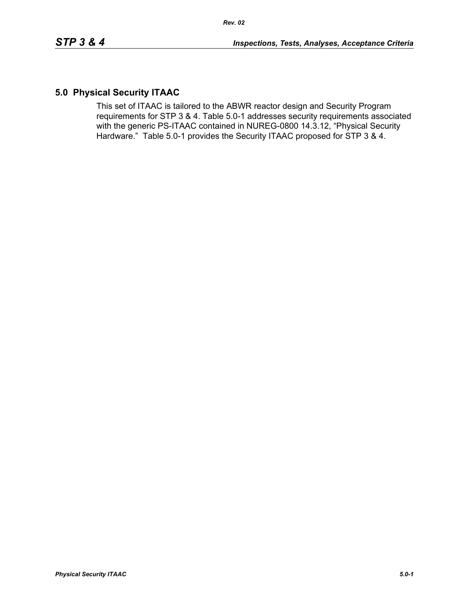## **5.0 Physical Security ITAAC**

This set of ITAAC is tailored to the ABWR reactor design and Security Program requirements for STP 3 & 4. Table 5.0-1 addresses security requirements associated with the generic PS-ITAAC contained in NUREG-0800 14.3.12, "Physical Security Hardware." Table 5.0-1 provides the Security ITAAC proposed for STP 3 & 4.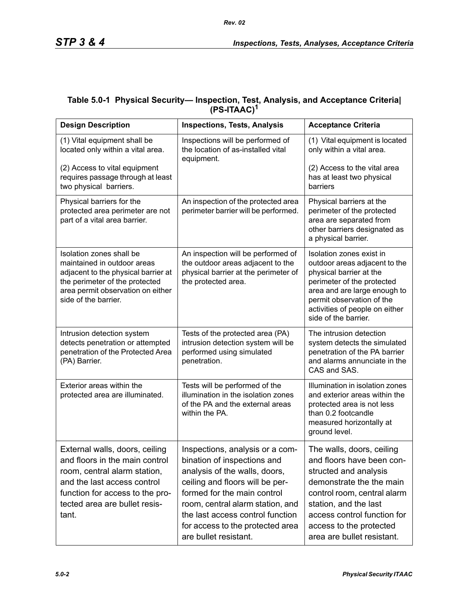## **Table 5.0-1 Physical Security— Inspection, Test, Analysis, and Acceptance Criteria| (PS-ITAAC)<sup>1</sup>**

| <b>Design Description</b>                                                                                                                                                                                    | <b>Inspections, Tests, Analysis</b>                                                                                                                                                                                                                                                                    | <b>Acceptance Criteria</b>                                                                                                                                                                                                                                  |
|--------------------------------------------------------------------------------------------------------------------------------------------------------------------------------------------------------------|--------------------------------------------------------------------------------------------------------------------------------------------------------------------------------------------------------------------------------------------------------------------------------------------------------|-------------------------------------------------------------------------------------------------------------------------------------------------------------------------------------------------------------------------------------------------------------|
| (1) Vital equipment shall be<br>located only within a vital area.                                                                                                                                            | Inspections will be performed of<br>the location of as-installed vital<br>equipment.                                                                                                                                                                                                                   | (1) Vital equipment is located<br>only within a vital area.                                                                                                                                                                                                 |
| (2) Access to vital equipment<br>requires passage through at least<br>two physical barriers.                                                                                                                 |                                                                                                                                                                                                                                                                                                        | (2) Access to the vital area<br>has at least two physical<br>barriers                                                                                                                                                                                       |
| Physical barriers for the<br>protected area perimeter are not<br>part of a vital area barrier.                                                                                                               | An inspection of the protected area<br>perimeter barrier will be performed.                                                                                                                                                                                                                            | Physical barriers at the<br>perimeter of the protected<br>area are separated from<br>other barriers designated as<br>a physical barrier.                                                                                                                    |
| Isolation zones shall be<br>maintained in outdoor areas<br>adjacent to the physical barrier at<br>the perimeter of the protected<br>area permit observation on either<br>side of the barrier.                | An inspection will be performed of<br>the outdoor areas adjacent to the<br>physical barrier at the perimeter of<br>the protected area.                                                                                                                                                                 | Isolation zones exist in<br>outdoor areas adjacent to the<br>physical barrier at the<br>perimeter of the protected<br>area and are large enough to<br>permit observation of the<br>activities of people on either<br>side of the barrier.                   |
| Intrusion detection system<br>detects penetration or attempted<br>penetration of the Protected Area<br>(PA) Barrier.                                                                                         | Tests of the protected area (PA)<br>intrusion detection system will be<br>performed using simulated<br>penetration.                                                                                                                                                                                    | The intrusion detection<br>system detects the simulated<br>penetration of the PA barrier<br>and alarms annunciate in the<br>CAS and SAS.                                                                                                                    |
| Exterior areas within the<br>protected area are illuminated.                                                                                                                                                 | Tests will be performed of the<br>illumination in the isolation zones<br>of the PA and the external areas<br>within the PA.                                                                                                                                                                            | Illumination in isolation zones<br>and exterior areas within the<br>protected area is not less<br>than 0.2 footcandle<br>measured horizontally at<br>ground level.                                                                                          |
| External walls, doors, ceiling<br>and floors in the main control<br>room, central alarm station,<br>and the last access control<br>function for access to the pro-<br>tected area are bullet resis-<br>tant. | Inspections, analysis or a com-<br>bination of inspections and<br>analysis of the walls, doors,<br>ceiling and floors will be per-<br>formed for the main control<br>room, central alarm station, and<br>the last access control function<br>for access to the protected area<br>are bullet resistant. | The walls, doors, ceiling<br>and floors have been con-<br>structed and analysis<br>demonstrate the the main<br>control room, central alarm<br>station, and the last<br>access control function for<br>access to the protected<br>area are bullet resistant. |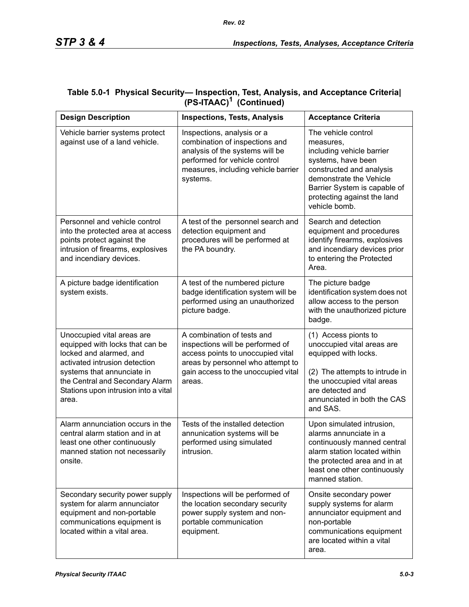| <b>Design Description</b>                                                                                                                                                                                                                   | <b>Inspections, Tests, Analysis</b>                                                                                                                                                       | <b>Acceptance Criteria</b>                                                                                                                                                                                                 |
|---------------------------------------------------------------------------------------------------------------------------------------------------------------------------------------------------------------------------------------------|-------------------------------------------------------------------------------------------------------------------------------------------------------------------------------------------|----------------------------------------------------------------------------------------------------------------------------------------------------------------------------------------------------------------------------|
| Vehicle barrier systems protect<br>against use of a land vehicle.                                                                                                                                                                           | Inspections, analysis or a<br>combination of inspections and<br>analysis of the systems will be<br>performed for vehicle control<br>measures, including vehicle barrier<br>systems.       | The vehicle control<br>measures,<br>including vehicle barrier<br>systems, have been<br>constructed and analysis<br>demonstrate the Vehicle<br>Barrier System is capable of<br>protecting against the land<br>vehicle bomb. |
| Personnel and vehicle control<br>into the protected area at access<br>points protect against the<br>intrusion of firearms, explosives<br>and incendiary devices.                                                                            | A test of the personnel search and<br>detection equipment and<br>procedures will be performed at<br>the PA boundry.                                                                       | Search and detection<br>equipment and procedures<br>identify firearms, explosives<br>and incendiary devices prior<br>to entering the Protected<br>Area.                                                                    |
| A picture badge identification<br>system exists.                                                                                                                                                                                            | A test of the numbered picture<br>badge identification system will be<br>performed using an unauthorized<br>picture badge.                                                                | The picture badge<br>identification system does not<br>allow access to the person<br>with the unauthorized picture<br>badge.                                                                                               |
| Unoccupied vital areas are<br>equipped with locks that can be<br>locked and alarmed, and<br>activated intrusion detection<br>systems that annunciate in<br>the Central and Secondary Alarm<br>Stations upon intrusion into a vital<br>area. | A combination of tests and<br>inspections will be performed of<br>access points to unoccupied vital<br>areas by personnel who attempt to<br>gain access to the unoccupied vital<br>areas. | (1) Access pionts to<br>unoccupied vital areas are<br>equipped with locks.<br>(2) The attempts to intrude in<br>the unoccupied vital areas<br>are detected and<br>annunciated in both the CAS<br>and SAS.                  |
| Alarm annunciation occurs in the<br>central alarm station and in at<br>least one other continuously<br>manned station not necessarily<br>onsite.                                                                                            | Tests of the installed detection<br>annunication systems will be<br>performed using simulated<br>intrusion.                                                                               | Upon simulated intrusion,<br>alarms annunciate in a<br>continuously manned central<br>alarm station located within<br>the protected area and in at<br>least one other continuously<br>manned station.                      |
| Secondary security power supply<br>system for alarm annunciator<br>equipment and non-portable<br>communications equipment is<br>located within a vital area.                                                                                | Inspections will be performed of<br>the location secondary security<br>power supply system and non-<br>portable communication<br>equipment.                                               | Onsite secondary power<br>supply systems for alarm<br>annunciator equipment and<br>non-portable<br>communications equipment<br>are located within a vital<br>area.                                                         |

## **Table 5.0-1 Physical Security— Inspection, Test, Analysis, and Acceptance Criteria| (PS-ITAAC)1 (Continued)**